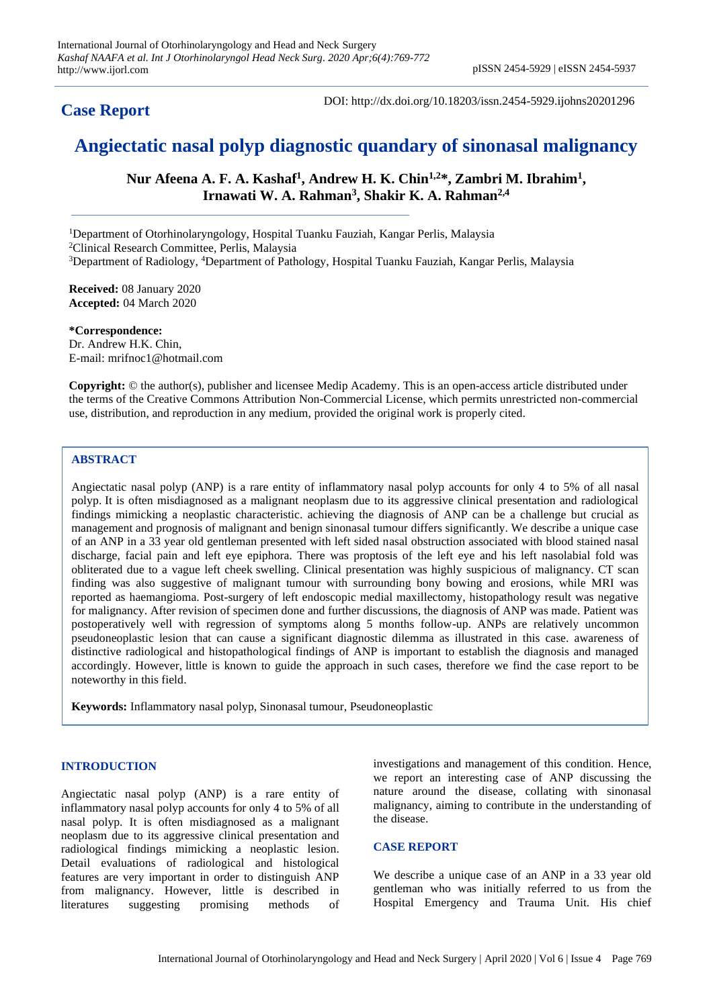## **Case Report**

DOI: http://dx.doi.org/10.18203/issn.2454-5929.ijohns20201296

# **Angiectatic nasal polyp diagnostic quandary of sinonasal malignancy**

**Nur Afeena A. F. A. Kashaf<sup>1</sup> , Andrew H. K. Chin1,2\*, Zambri M. Ibrahim<sup>1</sup> , Irnawati W. A. Rahman<sup>3</sup> , Shakir K. A. Rahman2,4**

<sup>1</sup>Department of Otorhinolaryngology, Hospital Tuanku Fauziah, Kangar Perlis, Malaysia <sup>2</sup>Clinical Research Committee, Perlis, Malaysia <sup>3</sup>Department of Radiology, <sup>4</sup>Department of Pathology, Hospital Tuanku Fauziah, Kangar Perlis, Malaysia

**Received:** 08 January 2020 **Accepted:** 04 March 2020

**\*Correspondence:** Dr. Andrew H.K. Chin, E-mail: mrifnoc1@hotmail.com

**Copyright:** © the author(s), publisher and licensee Medip Academy. This is an open-access article distributed under the terms of the Creative Commons Attribution Non-Commercial License, which permits unrestricted non-commercial use, distribution, and reproduction in any medium, provided the original work is properly cited.

### **ABSTRACT**

Angiectatic nasal polyp (ANP) is a rare entity of inflammatory nasal polyp accounts for only 4 to 5% of all nasal polyp. It is often misdiagnosed as a malignant neoplasm due to its aggressive clinical presentation and radiological findings mimicking a neoplastic characteristic. achieving the diagnosis of ANP can be a challenge but crucial as management and prognosis of malignant and benign sinonasal tumour differs significantly. We describe a unique case of an ANP in a 33 year old gentleman presented with left sided nasal obstruction associated with blood stained nasal discharge, facial pain and left eye epiphora. There was proptosis of the left eye and his left nasolabial fold was obliterated due to a vague left cheek swelling. Clinical presentation was highly suspicious of malignancy. CT scan finding was also suggestive of malignant tumour with surrounding bony bowing and erosions, while MRI was reported as haemangioma. Post-surgery of left endoscopic medial maxillectomy, histopathology result was negative for malignancy. After revision of specimen done and further discussions, the diagnosis of ANP was made. Patient was postoperatively well with regression of symptoms along 5 months follow-up. ANPs are relatively uncommon pseudoneoplastic lesion that can cause a significant diagnostic dilemma as illustrated in this case. awareness of distinctive radiological and histopathological findings of ANP is important to establish the diagnosis and managed accordingly. However, little is known to guide the approach in such cases, therefore we find the case report to be noteworthy in this field.

**Keywords:** Inflammatory nasal polyp, Sinonasal tumour, Pseudoneoplastic

#### **INTRODUCTION**

Angiectatic nasal polyp (ANP) is a rare entity of inflammatory nasal polyp accounts for only 4 to 5% of all nasal polyp. It is often misdiagnosed as a malignant neoplasm due to its aggressive clinical presentation and radiological findings mimicking a neoplastic lesion. Detail evaluations of radiological and histological features are very important in order to distinguish ANP from malignancy. However, little is described in literatures suggesting promising methods of

investigations and management of this condition. Hence, we report an interesting case of ANP discussing the nature around the disease, collating with sinonasal malignancy, aiming to contribute in the understanding of the disease.

#### **CASE REPORT**

We describe a unique case of an ANP in a 33 year old gentleman who was initially referred to us from the Hospital Emergency and Trauma Unit. His chief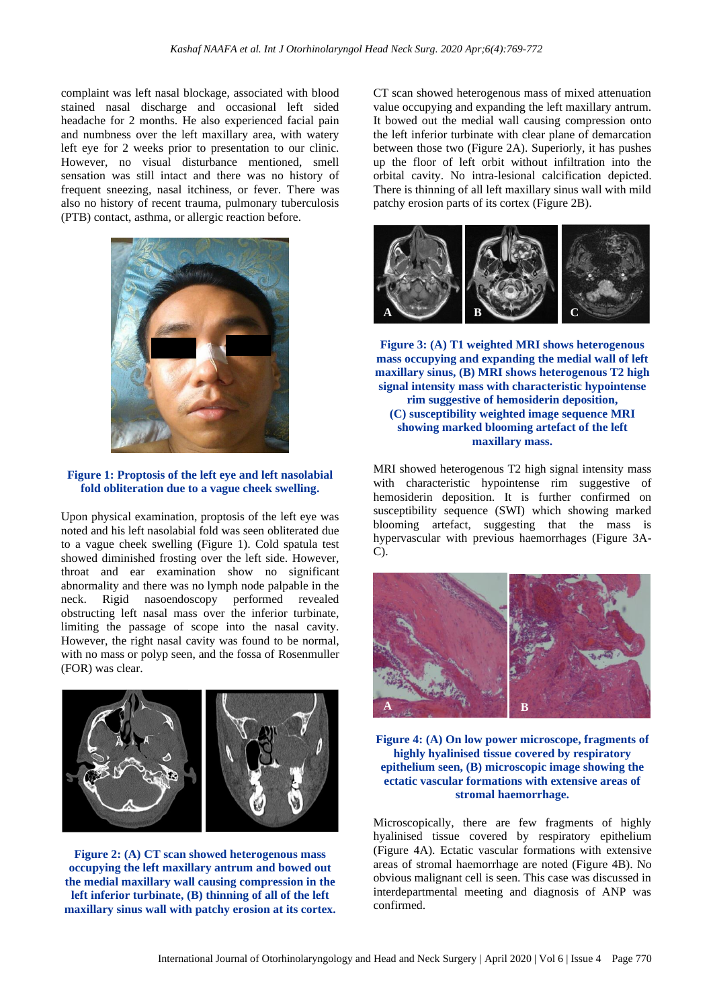complaint was left nasal blockage, associated with blood stained nasal discharge and occasional left sided headache for 2 months. He also experienced facial pain and numbness over the left maxillary area, with watery left eye for 2 weeks prior to presentation to our clinic. However, no visual disturbance mentioned, smell sensation was still intact and there was no history of frequent sneezing, nasal itchiness, or fever. There was also no history of recent trauma, pulmonary tuberculosis (PTB) contact, asthma, or allergic reaction before.



**Figure 1: Proptosis of the left eye and left nasolabial fold obliteration due to a vague cheek swelling.**

Upon physical examination, proptosis of the left eye was noted and his left nasolabial fold was seen obliterated due to a vague cheek swelling (Figure 1). Cold spatula test showed diminished frosting over the left side. However, throat and ear examination show no significant abnormality and there was no lymph node palpable in the neck. Rigid nasoendoscopy performed revealed obstructing left nasal mass over the inferior turbinate, limiting the passage of scope into the nasal cavity. However, the right nasal cavity was found to be normal, with no mass or polyp seen, and the fossa of Rosenmuller (FOR) was clear.



**Figure 2: (A) CT scan showed heterogenous mass occupying the left maxillary antrum and bowed out the medial maxillary wall causing compression in the left inferior turbinate, (B) thinning of all of the left maxillary sinus wall with patchy erosion at its cortex.** CT scan showed heterogenous mass of mixed attenuation value occupying and expanding the left maxillary antrum. It bowed out the medial wall causing compression onto the left inferior turbinate with clear plane of demarcation between those two (Figure 2A). Superiorly, it has pushes up the floor of left orbit without infiltration into the orbital cavity. No intra-lesional calcification depicted. There is thinning of all left maxillary sinus wall with mild patchy erosion parts of its cortex (Figure 2B).



**Figure 3: (A) T1 weighted MRI shows heterogenous mass occupying and expanding the medial wall of left maxillary sinus, (B) MRI shows heterogenous T2 high signal intensity mass with characteristic hypointense rim suggestive of hemosiderin deposition, (C) susceptibility weighted image sequence MRI showing marked blooming artefact of the left maxillary mass.**

MRI showed heterogenous T2 high signal intensity mass with characteristic hypointense rim suggestive of hemosiderin deposition. It is further confirmed on susceptibility sequence (SWI) which showing marked blooming artefact, suggesting that the mass is hypervascular with previous haemorrhages (Figure 3A-C).



**Figure 4: (A) On low power microscope, fragments of highly hyalinised tissue covered by respiratory epithelium seen, (B) microscopic image showing the ectatic vascular formations with extensive areas of stromal haemorrhage.**

Microscopically, there are few fragments of highly hyalinised tissue covered by respiratory epithelium (Figure 4A). Ectatic vascular formations with extensive areas of stromal haemorrhage are noted (Figure 4B). No obvious malignant cell is seen. This case was discussed in interdepartmental meeting and diagnosis of ANP was confirmed.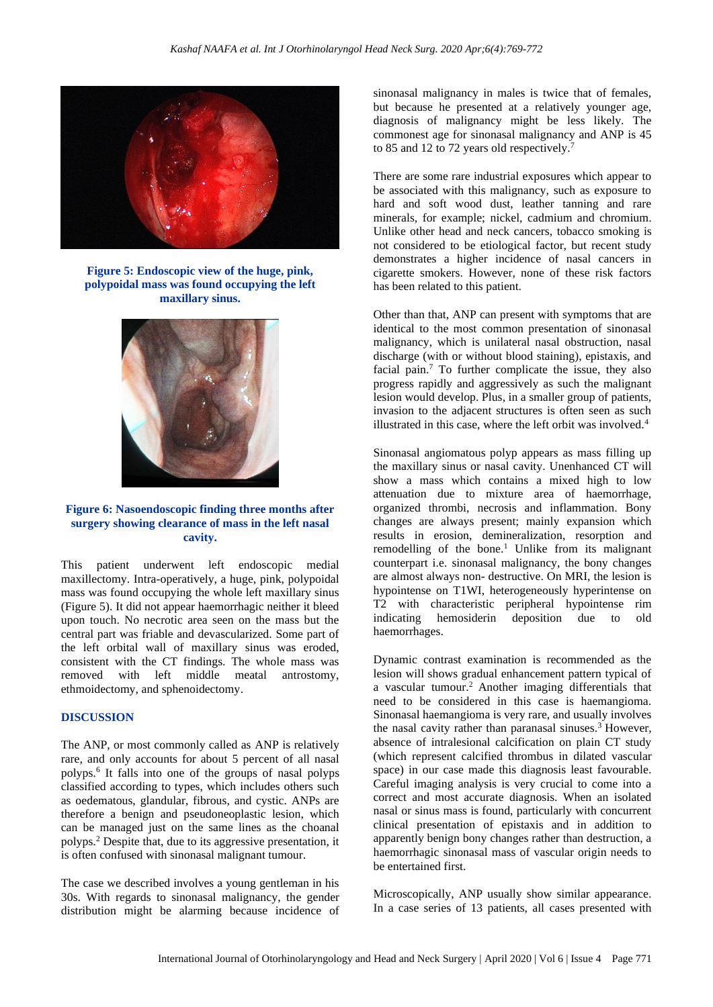

**Figure 5: Endoscopic view of the huge, pink, polypoidal mass was found occupying the left maxillary sinus.**



#### **Figure 6: Nasoendoscopic finding three months after surgery showing clearance of mass in the left nasal cavity.**

This patient underwent left endoscopic medial maxillectomy. Intra-operatively, a huge, pink, polypoidal mass was found occupying the whole left maxillary sinus (Figure 5). It did not appear haemorrhagic neither it bleed upon touch. No necrotic area seen on the mass but the central part was friable and devascularized. Some part of the left orbital wall of maxillary sinus was eroded, consistent with the CT findings. The whole mass was removed with left middle meatal antrostomy, ethmoidectomy, and sphenoidectomy.

#### **DISCUSSION**

The ANP, or most commonly called as ANP is relatively rare, and only accounts for about 5 percent of all nasal polyps.<sup>6</sup> It falls into one of the groups of nasal polyps classified according to types, which includes others such as oedematous, glandular, fibrous, and cystic. ANPs are therefore a benign and pseudoneoplastic lesion, which can be managed just on the same lines as the choanal polyps.<sup>2</sup> Despite that, due to its aggressive presentation, it is often confused with sinonasal malignant tumour.

The case we described involves a young gentleman in his 30s. With regards to sinonasal malignancy, the gender distribution might be alarming because incidence of sinonasal malignancy in males is twice that of females, but because he presented at a relatively younger age, diagnosis of malignancy might be less likely. The commonest age for sinonasal malignancy and ANP is 45 to 85 and 12 to 72 years old respectively.<sup>7</sup>

There are some rare industrial exposures which appear to be associated with this malignancy, such as exposure to hard and soft wood dust, leather tanning and rare minerals, for example; nickel, cadmium and chromium. Unlike other head and neck cancers, tobacco smoking is not considered to be etiological factor, but recent study demonstrates a higher incidence of nasal cancers in cigarette smokers. However, none of these risk factors has been related to this patient.

Other than that, ANP can present with symptoms that are identical to the most common presentation of sinonasal malignancy, which is unilateral nasal obstruction, nasal discharge (with or without blood staining), epistaxis, and facial pain.<sup>7</sup> To further complicate the issue, they also progress rapidly and aggressively as such the malignant lesion would develop. Plus, in a smaller group of patients, invasion to the adjacent structures is often seen as such illustrated in this case, where the left orbit was involved.<sup>4</sup>

Sinonasal angiomatous polyp appears as mass filling up the maxillary sinus or nasal cavity. Unenhanced CT will show a mass which contains a mixed high to low attenuation due to mixture area of haemorrhage, organized thrombi, necrosis and inflammation. Bony changes are always present; mainly expansion which results in erosion, demineralization, resorption and remodelling of the bone.<sup>1</sup> Unlike from its malignant counterpart i.e. sinonasal malignancy, the bony changes are almost always non- destructive. On MRI, the lesion is hypointense on T1WI, heterogeneously hyperintense on T2 with characteristic peripheral hypointense rim indicating hemosiderin deposition due to old haemorrhages.

Dynamic contrast examination is recommended as the lesion will shows gradual enhancement pattern typical of a vascular tumour.<sup>2</sup> Another imaging differentials that need to be considered in this case is haemangioma. Sinonasal haemangioma is very rare, and usually involves the nasal cavity rather than paranasal sinuses.<sup>3</sup> However, absence of intralesional calcification on plain CT study (which represent calcified thrombus in dilated vascular space) in our case made this diagnosis least favourable. Careful imaging analysis is very crucial to come into a correct and most accurate diagnosis. When an isolated nasal or sinus mass is found, particularly with concurrent clinical presentation of epistaxis and in addition to apparently benign bony changes rather than destruction, a haemorrhagic sinonasal mass of vascular origin needs to be entertained first.

Microscopically, ANP usually show similar appearance. In a case series of 13 patients, all cases presented with